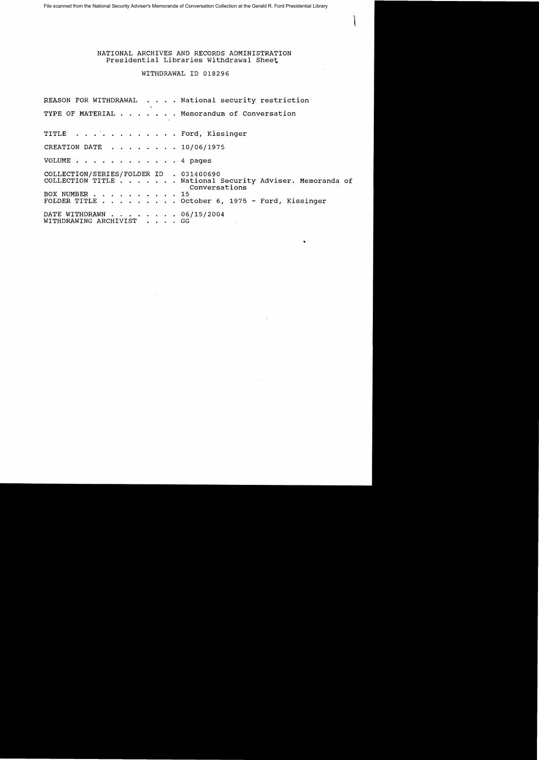File scanned from the National Security Adviser's Memoranda of Conversation Collection at the Gerald R. Ford Presidential Library

NATIONAL ARCHIVES AND RECORDS ADMINISTRATION Presidential Libraries Withdrawal Sheet

WITHDRAWAL ID 018296

REASON FOR WITHDRAWAL . . . . National security restriction TYPE OF MATERIAL  $\dots$   $\dots$  . Memorandum of Conversation TITLE . . . . . . . . . . . . Ford, Kissinger CREATION DATE  $\ldots$ ,  $\ldots$ ,  $\ldots$ ,  $10/06/1975$ VOLUME . . . . . . . . . . . . 4 pages COLLECTION/SERIES/FOLDER ID . 031400690 COLLECTION TITLE ..... National Security Adviser. Memoranda of Conversations BOX NUMBER . . • . . 15 FOLDER TITLE . . . . . . . . October 6, 1975 - Ford, Kissinger DATE WITHDRAWN . . . . . . . . 06/15/2004 WITHDRAWING ARCHIVIST . . . . GG